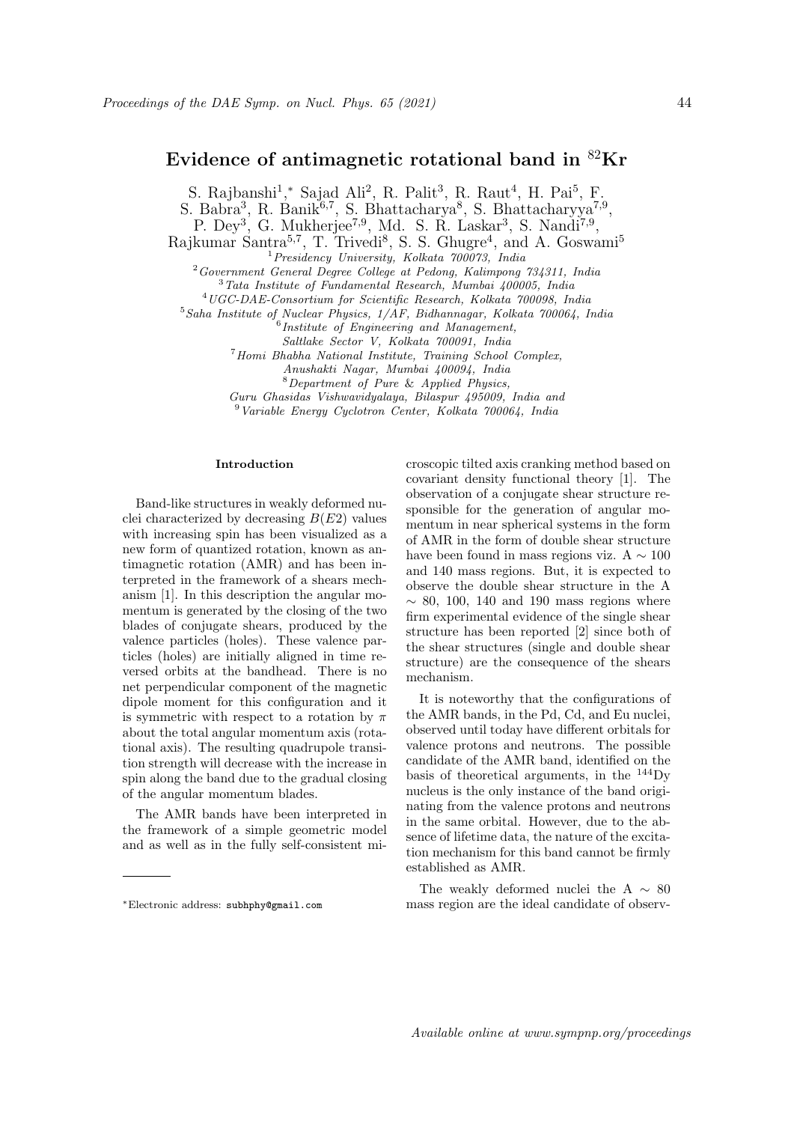# Evidence of antimagnetic rotational band in <sup>82</sup>Kr

S. Rajbanshi<sup>1</sup>,\* Sajad Ali<sup>2</sup>, R. Palit<sup>3</sup>, R. Raut<sup>4</sup>, H. Pai<sup>5</sup>, F.

S. Babra<sup>3</sup>, R. Banik<sup>6,7</sup>, S. Bhattacharya<sup>8</sup>, S. Bhattacharyya<sup>7,9</sup>,

P. Dey<sup>3</sup>, G. Mukherjee<sup>7,9</sup>, Md. S. R. Laskar<sup>3</sup>, S. Nandi<sup>7,9</sup>,

Rajkumar Santra<sup>5,7</sup>, T. Trivedi<sup>8</sup>, S. S. Ghugre<sup>4</sup>, and A. Goswami<sup>5</sup>

<sup>1</sup>Presidency University, Kolkata 700073, India

<sup>2</sup>Government General Degree College at Pedong, Kalimpong 734311, India

<sup>3</sup>Tata Institute of Fundamental Research, Mumbai 400005, India

<sup>4</sup>UGC-DAE-Consortium for Scientific Research, Kolkata 700098, India

<sup>5</sup>Saha Institute of Nuclear Physics,  $1/AF$ , Bidhannagar, Kolkata 700064, India<br><sup>6</sup>Institute of Engineering and Management,

Saltlake Sector V, Kolkata 700091, India

<sup>7</sup>Homi Bhabha National Institute, Training School Complex,

Anushakti Nagar, Mumbai 400094, India

<sup>8</sup>Department of Pure & Applied Physics,

Guru Ghasidas Vishwavidyalaya, Bilaspur 495009, India and

<sup>9</sup>Variable Energy Cyclotron Center, Kolkata 700064, India

## Introduction

Band-like structures in weakly deformed nuclei characterized by decreasing  $B(E2)$  values with increasing spin has been visualized as a new form of quantized rotation, known as antimagnetic rotation (AMR) and has been interpreted in the framework of a shears mechanism [1]. In this description the angular momentum is generated by the closing of the two blades of conjugate shears, produced by the valence particles (holes). These valence particles (holes) are initially aligned in time reversed orbits at the bandhead. There is no net perpendicular component of the magnetic dipole moment for this configuration and it is symmetric with respect to a rotation by  $\pi$ about the total angular momentum axis (rotational axis). The resulting quadrupole transition strength will decrease with the increase in spin along the band due to the gradual closing of the angular momentum blades.

The AMR bands have been interpreted in the framework of a simple geometric model and as well as in the fully self-consistent microscopic tilted axis cranking method based on covariant density functional theory [1]. The observation of a conjugate shear structure responsible for the generation of angular momentum in near spherical systems in the form of AMR in the form of double shear structure have been found in mass regions viz. A  $\sim 100$ and 140 mass regions. But, it is expected to observe the double shear structure in the A  $\sim$  80, 100, 140 and 190 mass regions where firm experimental evidence of the single shear structure has been reported [2] since both of the shear structures (single and double shear structure) are the consequence of the shears mechanism.

It is noteworthy that the configurations of the AMR bands, in the Pd, Cd, and Eu nuclei, observed until today have different orbitals for valence protons and neutrons. The possible candidate of the AMR band, identified on the basis of theoretical arguments, in the <sup>144</sup>Dy nucleus is the only instance of the band originating from the valence protons and neutrons in the same orbital. However, due to the absence of lifetime data, the nature of the excitation mechanism for this band cannot be firmly established as AMR.

The weakly deformed nuclei the A  $\sim 80$ mass region are the ideal candidate of observ-

<sup>∗</sup>Electronic address: subhphy@gmail.com